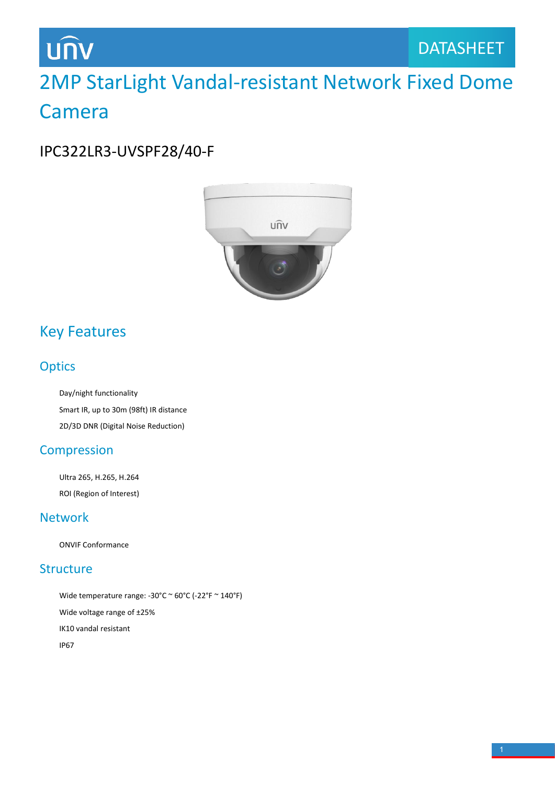# **UNV**

# 2MP StarLight Vandal-resistant Network Fixed Dome Camera

### IPC322LR3-UVSPF28/40-F



## Key Features

#### **Optics**

Day/night functionality Smart IR, up to 30m (98ft) IR distance 2D/3D DNR (Digital Noise Reduction)

#### **Compression**

Ultra 265, H.265, H.264 ROI (Region of Interest)

#### Network

ONVIF Conformance

#### **Structure**

Wide temperature range: -30°C  $\sim$  60°C (-22°F  $\sim$  140°F) Wide voltage range of ±25% IK10 vandal resistant IP67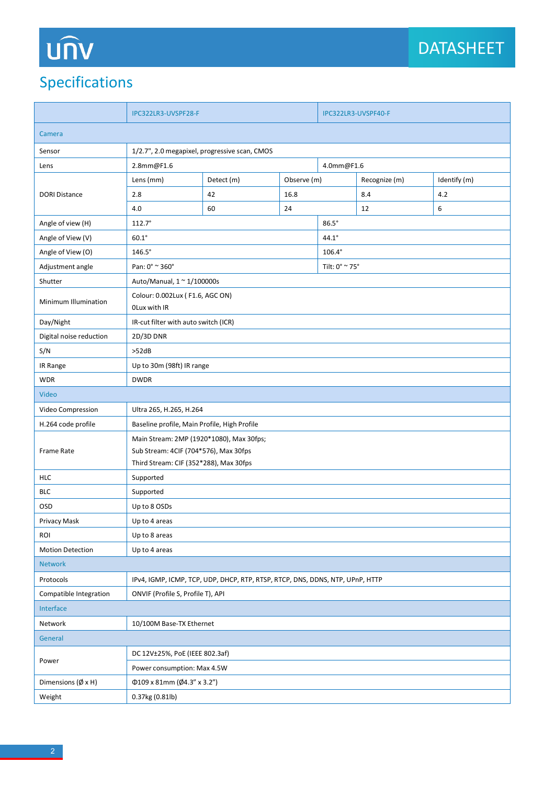# UN

## Specifications

|                               | IPC322LR3-UVSPF28-F                                                           |                           |              | IPC322LR3-UVSPF40-F     |               |              |  |
|-------------------------------|-------------------------------------------------------------------------------|---------------------------|--------------|-------------------------|---------------|--------------|--|
| Camera                        |                                                                               |                           |              |                         |               |              |  |
| Sensor                        | 1/2.7", 2.0 megapixel, progressive scan, CMOS                                 |                           |              |                         |               |              |  |
| Lens                          | 2.8mm@F1.6<br>4.0mm@F1.6                                                      |                           |              |                         |               |              |  |
| <b>DORI Distance</b>          | Lens (mm)                                                                     | Detect (m)<br>Observe (m) |              |                         | Recognize (m) | Identify (m) |  |
|                               | 2.8                                                                           | 42                        | 16.8         |                         | 8.4           | 4.2          |  |
|                               | 4.0                                                                           | 60                        | 24           |                         | 12            | 6            |  |
| Angle of view (H)             | $112.7^\circ$                                                                 |                           | $86.5^\circ$ |                         |               |              |  |
| Angle of View (V)             | $60.1^\circ$<br>$44.1^\circ$                                                  |                           |              |                         |               |              |  |
| Angle of View (O)             | $146.5^\circ$                                                                 |                           |              | 106.4°                  |               |              |  |
| Adjustment angle              | Pan: 0° ~ 360°                                                                |                           |              | Tilt: $0^{\circ}$ ~ 75° |               |              |  |
| Shutter                       | Auto/Manual, $1 \approx 1/100000$ s                                           |                           |              |                         |               |              |  |
| Minimum Illumination          | Colour: 0.002Lux (F1.6, AGC ON)<br>OLux with IR                               |                           |              |                         |               |              |  |
| Day/Night                     | IR-cut filter with auto switch (ICR)                                          |                           |              |                         |               |              |  |
| Digital noise reduction       | 2D/3D DNR                                                                     |                           |              |                         |               |              |  |
| S/N                           | >52dB                                                                         |                           |              |                         |               |              |  |
| IR Range                      | Up to 30m (98ft) IR range                                                     |                           |              |                         |               |              |  |
| <b>WDR</b>                    | <b>DWDR</b>                                                                   |                           |              |                         |               |              |  |
| Video                         |                                                                               |                           |              |                         |               |              |  |
| Video Compression             | Ultra 265, H.265, H.264                                                       |                           |              |                         |               |              |  |
| H.264 code profile            | Baseline profile, Main Profile, High Profile                                  |                           |              |                         |               |              |  |
| Frame Rate                    | Main Stream: 2MP (1920*1080), Max 30fps;                                      |                           |              |                         |               |              |  |
|                               | Sub Stream: 4CIF (704*576), Max 30fps                                         |                           |              |                         |               |              |  |
| <b>HLC</b>                    | Third Stream: CIF (352*288), Max 30fps<br>Supported                           |                           |              |                         |               |              |  |
| <b>BLC</b>                    | Supported                                                                     |                           |              |                         |               |              |  |
| <b>OSD</b>                    | Up to 8 OSDs                                                                  |                           |              |                         |               |              |  |
| Privacy Mask                  | Up to 4 areas                                                                 |                           |              |                         |               |              |  |
| ROI                           | Up to 8 areas                                                                 |                           |              |                         |               |              |  |
| <b>Motion Detection</b>       | Up to 4 areas                                                                 |                           |              |                         |               |              |  |
| Network                       |                                                                               |                           |              |                         |               |              |  |
| Protocols                     | IPv4, IGMP, ICMP, TCP, UDP, DHCP, RTP, RTSP, RTCP, DNS, DDNS, NTP, UPnP, HTTP |                           |              |                         |               |              |  |
| Compatible Integration        | ONVIF (Profile S, Profile T), API                                             |                           |              |                         |               |              |  |
| Interface                     |                                                                               |                           |              |                         |               |              |  |
| Network                       | 10/100M Base-TX Ethernet                                                      |                           |              |                         |               |              |  |
| General                       |                                                                               |                           |              |                         |               |              |  |
| Power                         | DC 12V±25%, PoE (IEEE 802.3af)                                                |                           |              |                         |               |              |  |
|                               | Power consumption: Max 4.5W                                                   |                           |              |                         |               |              |  |
| Dimensions ( $\emptyset$ x H) | Φ109 x 81mm (Ø4.3" x 3.2")                                                    |                           |              |                         |               |              |  |
| Weight                        | 0.37kg (0.81lb)                                                               |                           |              |                         |               |              |  |
|                               |                                                                               |                           |              |                         |               |              |  |